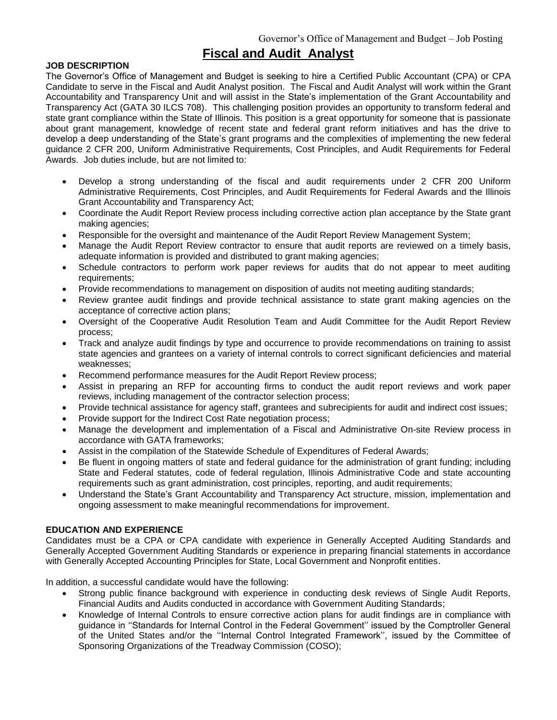# **Fiscal and Audit Analyst**

## **JOB DESCRIPTION**

The Governor's Office of Management and Budget is seeking to hire a Certified Public Accountant (CPA) or CPA Candidate to serve in the Fiscal and Audit Analyst position. The Fiscal and Audit Analyst will work within the Grant Accountability and Transparency Unit and will assist in the State's implementation of the Grant Accountability and Transparency Act (GATA 30 ILCS 708). This challenging position provides an opportunity to transform federal and state grant compliance within the State of Illinois. This position is a great opportunity for someone that is passionate about grant management, knowledge of recent state and federal grant reform initiatives and has the drive to develop a deep understanding of the State's grant programs and the complexities of implementing the new federal guidance 2 CFR 200, Uniform Administrative Requirements, Cost Principles, and Audit Requirements for Federal Awards. Job duties include, but are not limited to:

- Develop a strong understanding of the fiscal and audit requirements under 2 CFR 200 Uniform Administrative Requirements, Cost Principles, and Audit Requirements for Federal Awards and the Illinois Grant Accountability and Transparency Act;
- Coordinate the Audit Report Review process including corrective action plan acceptance by the State grant making agencies;
- Responsible for the oversight and maintenance of the Audit Report Review Management System;
- Manage the Audit Report Review contractor to ensure that audit reports are reviewed on a timely basis, adequate information is provided and distributed to grant making agencies;
- Schedule contractors to perform work paper reviews for audits that do not appear to meet auditing requirements;
- Provide recommendations to management on disposition of audits not meeting auditing standards;
- Review grantee audit findings and provide technical assistance to state grant making agencies on the acceptance of corrective action plans;
- Oversight of the Cooperative Audit Resolution Team and Audit Committee for the Audit Report Review process;
- Track and analyze audit findings by type and occurrence to provide recommendations on training to assist state agencies and grantees on a variety of internal controls to correct significant deficiencies and material weaknesses;
- Recommend performance measures for the Audit Report Review process;
- Assist in preparing an RFP for accounting firms to conduct the audit report reviews and work paper reviews, including management of the contractor selection process;
- Provide technical assistance for agency staff, grantees and subrecipients for audit and indirect cost issues;
- Provide support for the Indirect Cost Rate negotiation process;
- Manage the development and implementation of a Fiscal and Administrative On-site Review process in accordance with GATA frameworks;
- Assist in the compilation of the Statewide Schedule of Expenditures of Federal Awards;
- Be fluent in ongoing matters of state and federal guidance for the administration of grant funding; including State and Federal statutes, code of federal regulation, Illinois Administrative Code and state accounting requirements such as grant administration, cost principles, reporting, and audit requirements;
- Understand the State's Grant Accountability and Transparency Act structure, mission, implementation and ongoing assessment to make meaningful recommendations for improvement.

## **EDUCATION AND EXPERIENCE**

Candidates must be a CPA or CPA candidate with experience in Generally Accepted Auditing Standards and Generally Accepted Government Auditing Standards or experience in preparing financial statements in accordance with Generally Accepted Accounting Principles for State, Local Government and Nonprofit entities.

In addition, a successful candidate would have the following:

- Strong public finance background with experience in conducting desk reviews of Single Audit Reports, Financial Audits and Audits conducted in accordance with Government Auditing Standards;
- Knowledge of Internal Controls to ensure corrective action plans for audit findings are in compliance with guidance in ''Standards for Internal Control in the Federal Government'' issued by the Comptroller General of the United States and/or the ''Internal Control Integrated Framework'', issued by the Committee of Sponsoring Organizations of the Treadway Commission (COSO);